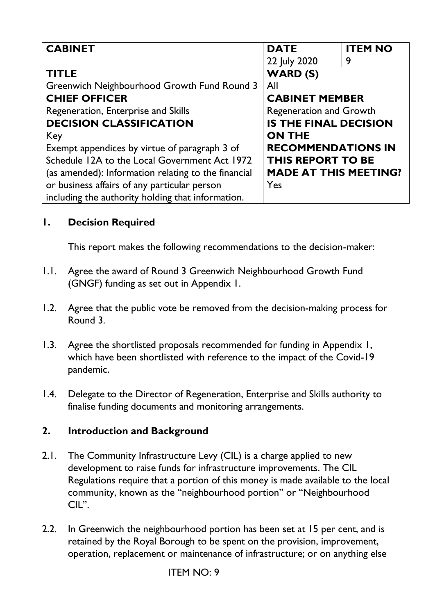| <b>CABINET</b>                                      | <b>DATE</b>                    | <b>ITEM NO</b> |
|-----------------------------------------------------|--------------------------------|----------------|
|                                                     | 22 July 2020                   | 9              |
| <b>TITLE</b>                                        | <b>WARD (S)</b>                |                |
| Greenwich Neighbourhood Growth Fund Round 3         | All                            |                |
| <b>CHIEF OFFICER</b>                                | <b>CABINET MEMBER</b>          |                |
| Regeneration, Enterprise and Skills                 | <b>Regeneration and Growth</b> |                |
| <b>DECISION CLASSIFICATION</b>                      | <b>IS THE FINAL DECISION</b>   |                |
| Key                                                 | <b>ON THE</b>                  |                |
| Exempt appendices by virtue of paragraph 3 of       | <b>RECOMMENDATIONS IN</b>      |                |
| Schedule 12A to the Local Government Act 1972       | <b>THIS REPORT TO BE</b>       |                |
| (as amended): Information relating to the financial | <b>MADE AT THIS MEETING?</b>   |                |
| or business affairs of any particular person        | Yes                            |                |
| including the authority holding that information.   |                                |                |

## **1. Decision Required**

This report makes the following recommendations to the decision-maker:

- 1.1. Agree the award of Round 3 Greenwich Neighbourhood Growth Fund (GNGF) funding as set out in Appendix 1.
- 1.2. Agree that the public vote be removed from the decision-making process for Round 3.
- 1.3. Agree the shortlisted proposals recommended for funding in Appendix 1, which have been shortlisted with reference to the impact of the Covid-19 pandemic.
- 1.4. Delegate to the Director of Regeneration, Enterprise and Skills authority to finalise funding documents and monitoring arrangements.

## **2. Introduction and Background**

- 2.1. The Community Infrastructure Levy (CIL) is a charge applied to new development to raise funds for infrastructure improvements. The CIL Regulations require that a portion of this money is made available to the local community, known as the "neighbourhood portion" or "Neighbourhood CIL".
- 2.2. In Greenwich the neighbourhood portion has been set at 15 per cent, and is retained by the Royal Borough to be spent on the provision, improvement, operation, replacement or maintenance of infrastructure; or on anything else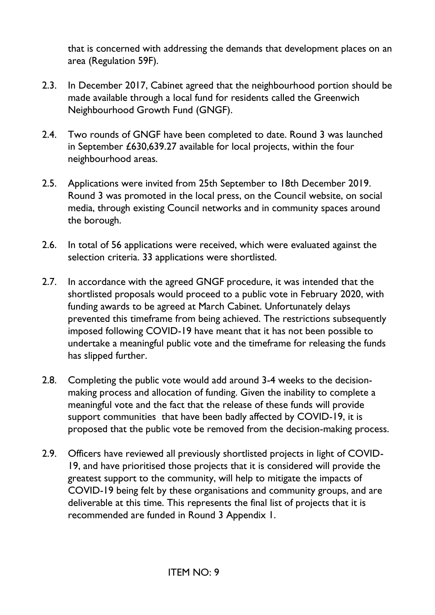that is concerned with addressing the demands that development places on an area (Regulation 59F).

- 2.3. In December 2017, Cabinet agreed that the neighbourhood portion should be made available through a local fund for residents called the Greenwich Neighbourhood Growth Fund (GNGF).
- 2.4. Two rounds of GNGF have been completed to date. Round 3 was launched in September £630,639.27 available for local projects, within the four neighbourhood areas.
- 2.5. Applications were invited from 25th September to 18th December 2019. Round 3 was promoted in the local press, on the Council website, on social media, through existing Council networks and in community spaces around the borough.
- 2.6. In total of 56 applications were received, which were evaluated against the selection criteria. 33 applications were shortlisted.
- 2.7. In accordance with the agreed GNGF procedure, it was intended that the shortlisted proposals would proceed to a public vote in February 2020, with funding awards to be agreed at March Cabinet. Unfortunately delays prevented this timeframe from being achieved. The restrictions subsequently imposed following COVID-19 have meant that it has not been possible to undertake a meaningful public vote and the timeframe for releasing the funds has slipped further.
- 2.8. Completing the public vote would add around 3-4 weeks to the decisionmaking process and allocation of funding. Given the inability to complete a meaningful vote and the fact that the release of these funds will provide support communities that have been badly affected by COVID-19, it is proposed that the public vote be removed from the decision-making process.
- 2.9. Officers have reviewed all previously shortlisted projects in light of COVID-19, and have prioritised those projects that it is considered will provide the greatest support to the community, will help to mitigate the impacts of COVID-19 being felt by these organisations and community groups, and are deliverable at this time. This represents the final list of projects that it is recommended are funded in Round 3 Appendix 1.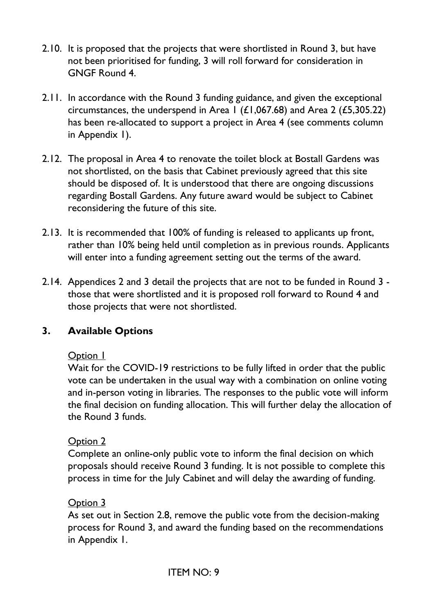- 2.10. It is proposed that the projects that were shortlisted in Round 3, but have not been prioritised for funding, 3 will roll forward for consideration in GNGF Round 4.
- 2.11. In accordance with the Round 3 funding guidance, and given the exceptional circumstances, the underspend in Area 1 ( $\pounds$ 1,067.68) and Area 2 ( $\pounds$ 5,305.22) has been re-allocated to support a project in Area 4 (see comments column in Appendix 1).
- 2.12. The proposal in Area 4 to renovate the toilet block at Bostall Gardens was not shortlisted, on the basis that Cabinet previously agreed that this site should be disposed of. It is understood that there are ongoing discussions regarding Bostall Gardens. Any future award would be subject to Cabinet reconsidering the future of this site.
- 2.13. It is recommended that 100% of funding is released to applicants up front, rather than 10% being held until completion as in previous rounds. Applicants will enter into a funding agreement setting out the terms of the award.
- 2.14. Appendices 2 and 3 detail the projects that are not to be funded in Round 3 those that were shortlisted and it is proposed roll forward to Round 4 and those projects that were not shortlisted.

## **3. Available Options**

### Option 1

Wait for the COVID-19 restrictions to be fully lifted in order that the public vote can be undertaken in the usual way with a combination on online voting and in-person voting in libraries. The responses to the public vote will inform the final decision on funding allocation. This will further delay the allocation of the Round 3 funds.

### Option 2

Complete an online-only public vote to inform the final decision on which proposals should receive Round 3 funding. It is not possible to complete this process in time for the July Cabinet and will delay the awarding of funding.

### Option 3

As set out in Section 2.8, remove the public vote from the decision-making process for Round 3, and award the funding based on the recommendations in Appendix 1.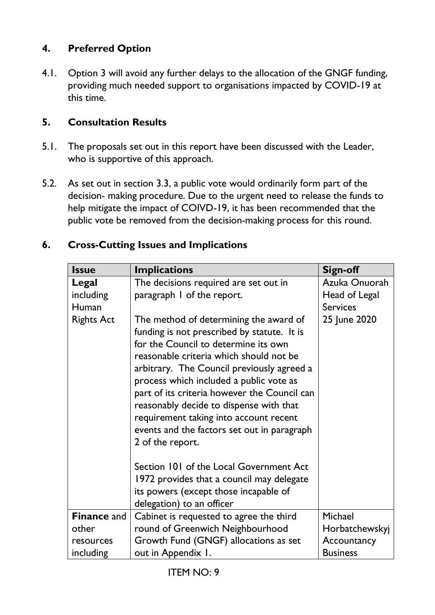## **4. Preferred Option**

4.1. Option 3 will avoid any further delays to the allocation of the GNGF funding, providing much needed support to organisations impacted by COVID-19 at this time.

### **5. Consultation Results**

- 5.1. The proposals set out in this report have been discussed with the Leader, who is supportive of this approach.
- 5.2. As set out in section 3.3, a public vote would ordinarily form part of the decision- making procedure. Due to the urgent need to release the funds to help mitigate the impact of COIVD-19, it has been recommended that the public vote be removed from the decision-making process for this round.

| <b>Issue</b>       | <b>Implications</b>                                                                   | Sign-off        |
|--------------------|---------------------------------------------------------------------------------------|-----------------|
| Legal              | The decisions required are set out in                                                 | Azuka Onuorah   |
| including          | paragraph I of the report.                                                            | Head of Legal   |
| Human              |                                                                                       | <b>Services</b> |
| <b>Rights Act</b>  | The method of determining the award of<br>funding is not prescribed by statute. It is | 25 June 2020    |
|                    | for the Council to determine its own                                                  |                 |
|                    | reasonable criteria which should not be                                               |                 |
|                    | arbitrary. The Council previously agreed a                                            |                 |
|                    | process which included a public vote as                                               |                 |
|                    | part of its criteria however the Council can                                          |                 |
|                    | reasonably decide to dispense with that                                               |                 |
|                    | requirement taking into account recent<br>events and the factors set out in paragraph |                 |
|                    | 2 of the report.                                                                      |                 |
|                    |                                                                                       |                 |
|                    | Section 101 of the Local Government Act                                               |                 |
|                    | 1972 provides that a council may delegate                                             |                 |
|                    | its powers (except those incapable of                                                 |                 |
|                    | delegation) to an officer                                                             |                 |
| <b>Finance and</b> | Cabinet is requested to agree the third                                               | Michael         |
| other              | round of Greenwich Neighbourhood                                                      | Horbatchewskyj  |
| resources          | Growth Fund (GNGF) allocations as set                                                 | Accountancy     |
| including          | out in Appendix 1.                                                                    | <b>Business</b> |

### **6. Cross-Cutting Issues and Implications**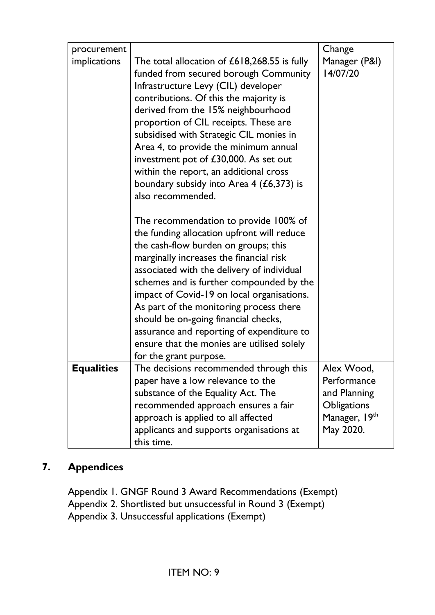| procurement       |                                                                                 | Change                    |
|-------------------|---------------------------------------------------------------------------------|---------------------------|
| implications      | The total allocation of $£618,268.55$ is fully                                  | Manager (P&I)<br>14/07/20 |
|                   | funded from secured borough Community                                           |                           |
|                   | Infrastructure Levy (CIL) developer                                             |                           |
|                   | contributions. Of this the majority is                                          |                           |
|                   | derived from the 15% neighbourhood                                              |                           |
|                   | proportion of CIL receipts. These are                                           |                           |
|                   | subsidised with Strategic CIL monies in                                         |                           |
|                   | Area 4, to provide the minimum annual                                           |                           |
|                   | investment pot of £30,000. As set out<br>within the report, an additional cross |                           |
|                   | boundary subsidy into Area $4$ (£6,373) is                                      |                           |
|                   | also recommended.                                                               |                           |
|                   |                                                                                 |                           |
|                   | The recommendation to provide 100% of                                           |                           |
|                   | the funding allocation upfront will reduce                                      |                           |
|                   | the cash-flow burden on groups; this                                            |                           |
|                   | marginally increases the financial risk                                         |                           |
|                   | associated with the delivery of individual                                      |                           |
|                   | schemes and is further compounded by the                                        |                           |
|                   | impact of Covid-19 on local organisations.                                      |                           |
|                   | As part of the monitoring process there                                         |                           |
|                   | should be on-going financial checks,                                            |                           |
|                   | assurance and reporting of expenditure to                                       |                           |
|                   | ensure that the monies are utilised solely                                      |                           |
|                   | for the grant purpose.                                                          |                           |
| <b>Equalities</b> | The decisions recommended through this                                          | Alex Wood,                |
|                   | paper have a low relevance to the                                               | Performance               |
|                   | substance of the Equality Act. The                                              | and Planning              |
|                   | recommended approach ensures a fair                                             | <b>Obligations</b>        |
|                   | approach is applied to all affected                                             | Manager, 19th             |
|                   | applicants and supports organisations at                                        | May 2020.                 |
|                   | this time.                                                                      |                           |

## **7. Appendices**

Appendix 1. GNGF Round 3 Award Recommendations (Exempt) Appendix 2. Shortlisted but unsuccessful in Round 3 (Exempt) Appendix 3. Unsuccessful applications (Exempt)